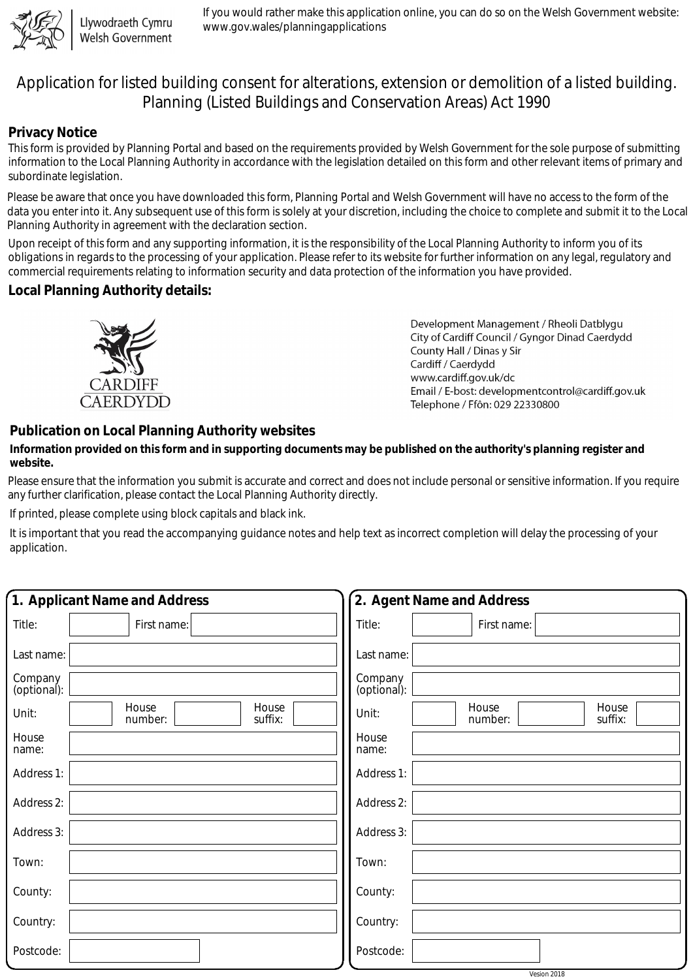

Llywodraeth Cymru **Welsh Government** 

If you would rather make this application online, you can do so on the Welsh Government website: www.gov.wales/planningapplications

# Application for listed building consent for alterations, extension or demolition of a listed building. Planning (Listed Buildings and Conservation Areas) Act 1990

## **Privacy Notice**

This form is provided by Planning Portal and based on the requirements provided by Welsh Government for the sole purpose of submitting information to the Local Planning Authority in accordance with the legislation detailed on this form and other relevant items of primary and subordinate legislation.

Please be aware that once you have downloaded this form, Planning Portal and Welsh Government will have no access to the form of the data you enter into it. Any subsequent use of this form is solely at your discretion, including the choice to complete and submit it to the Local Planning Authority in agreement with the declaration section.

Upon receipt of this form and any supporting information, it is the responsibility of the Local Planning Authority to inform you of its obligations in regards to the processing of your application. Please refer to its website for further information on any legal, regulatory and commercial requirements relating to information security and data protection of the information you have provided.

# **Local Planning Authority details:**



Development Management / Rheoli Datblygu City of Cardiff Council / Gyngor Dinad Caerdydd County Hall / Dinas y Sir Cardiff / Caerdydd www.cardiff.gov.uk/dc Email / E-bost: development control@cardiff.gov.uk Telephone / Ffôn: 029 22330800

## **Publication on Local Planning Authority websites**

#### **Information provided on this form and in supporting documents may be published on the authority's planning register and website.**

Please ensure that the information you submit is accurate and correct and does not include personal or sensitive information. If you require any further clarification, please contact the Local Planning Authority directly.

If printed, please complete using block capitals and black ink.

It is important that you read the accompanying guidance notes and help text as incorrect completion will delay the processing of your application.

| 1. Applicant Name and Address                 | 2. Agent Name and Address                     |
|-----------------------------------------------|-----------------------------------------------|
| Title:<br>First name:                         | Title:<br>First name:                         |
| Last name:                                    | Last name:                                    |
| Company<br>(optional):                        | Company<br>(optional):                        |
| House<br>House<br>Unit:<br>suffix:<br>number: | House<br>House<br>Unit:<br>number:<br>suffix: |
| House<br>name:                                | House<br>name:                                |
| Address 1:                                    | Address 1:                                    |
| Address 2:                                    | Address 2:                                    |
| Address 3:                                    | Address 3:                                    |
| Town:                                         | Town:                                         |
| County:                                       | County:                                       |
| Country:                                      | Country:                                      |
| Postcode:                                     | Postcode:                                     |
|                                               | Vesion 2018                                   |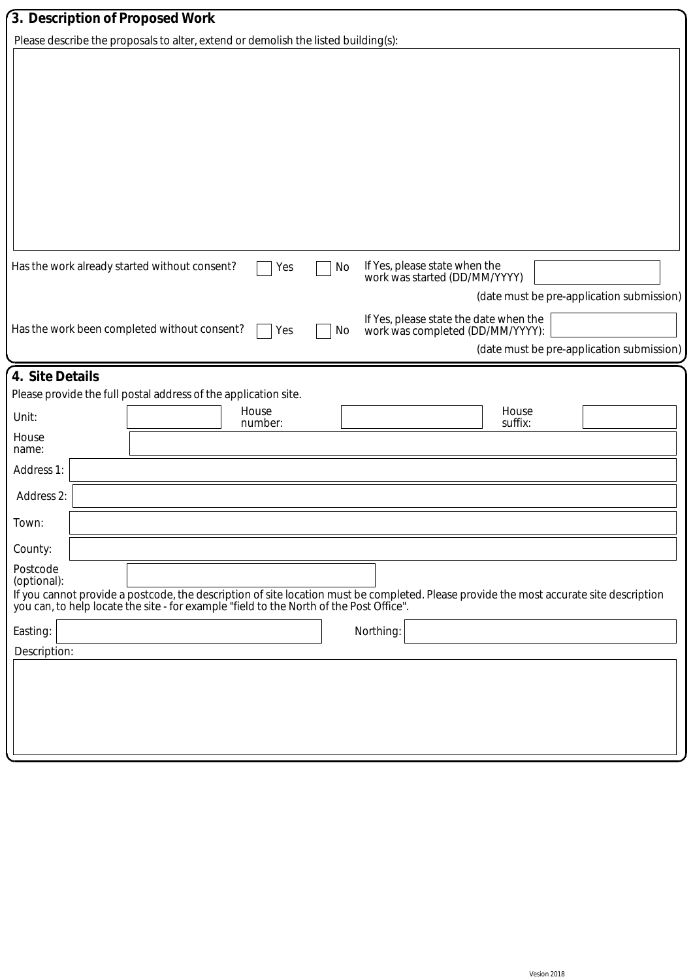| 3. Description of Proposed Work                                                    |                                                                                                                                                                                                                                   |  |  |  |
|------------------------------------------------------------------------------------|-----------------------------------------------------------------------------------------------------------------------------------------------------------------------------------------------------------------------------------|--|--|--|
| Please describe the proposals to alter, extend or demolish the listed building(s): |                                                                                                                                                                                                                                   |  |  |  |
|                                                                                    |                                                                                                                                                                                                                                   |  |  |  |
|                                                                                    | Has the work already started without consent?<br>If Yes, please state when the<br>Yes<br>No<br>work was started (DD/MM/YYYY)<br>(date must be pre-application submission)                                                         |  |  |  |
|                                                                                    | If Yes, please state the date when the<br>Has the work been completed without consent?<br>Yes<br>work was completed (DD/MM/YYYY):<br>No<br>(date must be pre-application submission)                                              |  |  |  |
| 4. Site Details                                                                    |                                                                                                                                                                                                                                   |  |  |  |
|                                                                                    | Please provide the full postal address of the application site.                                                                                                                                                                   |  |  |  |
| Unit:                                                                              | House<br>House<br>suffix:<br>number:                                                                                                                                                                                              |  |  |  |
| House<br>name:                                                                     |                                                                                                                                                                                                                                   |  |  |  |
| Address 1:                                                                         |                                                                                                                                                                                                                                   |  |  |  |
| Address 2:                                                                         |                                                                                                                                                                                                                                   |  |  |  |
| Town:                                                                              |                                                                                                                                                                                                                                   |  |  |  |
| County:                                                                            |                                                                                                                                                                                                                                   |  |  |  |
| Postcode<br>(optional):                                                            | If you cannot provide a postcode, the description of site location must be completed. Please provide the most accurate site description<br>you can, to help locate the site - for example "field to the North of the Post Office" |  |  |  |
| Easting:                                                                           | Northing:                                                                                                                                                                                                                         |  |  |  |
| Description:                                                                       |                                                                                                                                                                                                                                   |  |  |  |
|                                                                                    |                                                                                                                                                                                                                                   |  |  |  |
|                                                                                    |                                                                                                                                                                                                                                   |  |  |  |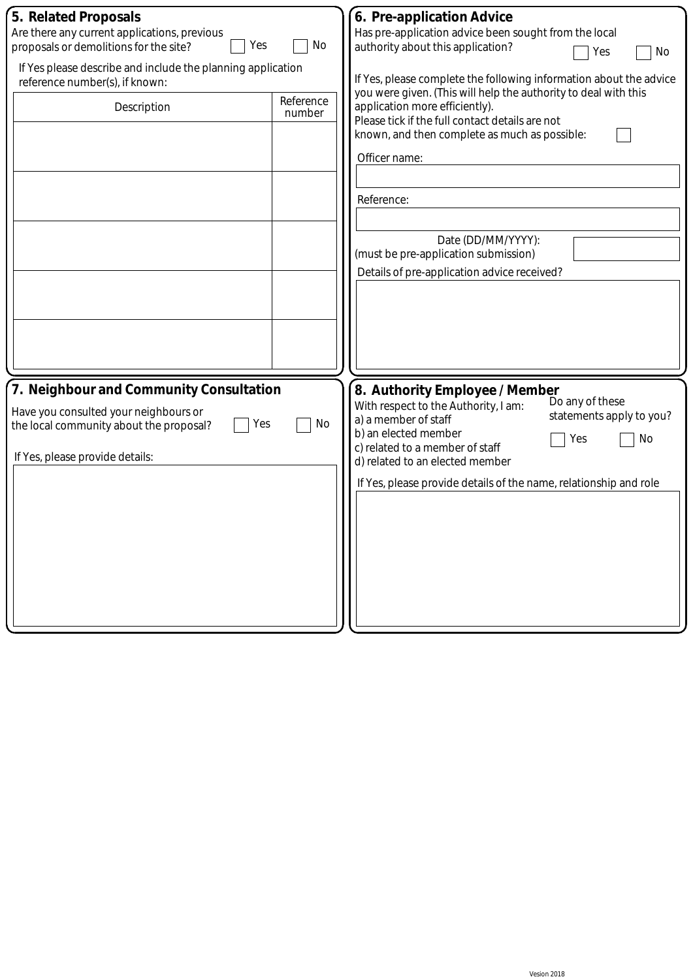| 5. Related Proposals                                                                          |        | 6. Pre-application Advice                                                                                   |  |  |  |
|-----------------------------------------------------------------------------------------------|--------|-------------------------------------------------------------------------------------------------------------|--|--|--|
| Are there any current applications, previous                                                  |        | Has pre-application advice been sought from the local                                                       |  |  |  |
| Yes<br>proposals or demolitions for the site?                                                 | No     | authority about this application?<br>No<br>Yes                                                              |  |  |  |
| If Yes please describe and include the planning application<br>reference number(s), if known: |        | If Yes, please complete the following information about the advice                                          |  |  |  |
| Reference<br>Description                                                                      |        | you were given. (This will help the authority to deal with this<br>application more efficiently).           |  |  |  |
|                                                                                               | number | Please tick if the full contact details are not                                                             |  |  |  |
|                                                                                               |        | known, and then complete as much as possible:                                                               |  |  |  |
|                                                                                               |        | Officer name:                                                                                               |  |  |  |
|                                                                                               |        | Reference:                                                                                                  |  |  |  |
|                                                                                               |        |                                                                                                             |  |  |  |
|                                                                                               |        | Date (DD/MM/YYYY):                                                                                          |  |  |  |
|                                                                                               |        | (must be pre-application submission)                                                                        |  |  |  |
|                                                                                               |        | Details of pre-application advice received?                                                                 |  |  |  |
|                                                                                               |        |                                                                                                             |  |  |  |
|                                                                                               |        |                                                                                                             |  |  |  |
|                                                                                               |        |                                                                                                             |  |  |  |
|                                                                                               |        |                                                                                                             |  |  |  |
|                                                                                               |        |                                                                                                             |  |  |  |
| 7. Neighbour and Community Consultation                                                       |        | 8. Authority Employee / Member                                                                              |  |  |  |
| Have you consulted your neighbours or                                                         |        | Do any of these<br>With respect to the Authority, I am:<br>statements apply to you?<br>a) a member of staff |  |  |  |
| Yes<br>the local community about the proposal?                                                | No     | b) an elected member                                                                                        |  |  |  |
| If Yes, please provide details:                                                               |        | No<br>Yes<br>c) related to a member of staff                                                                |  |  |  |
|                                                                                               |        | d) related to an elected member                                                                             |  |  |  |
|                                                                                               |        | If Yes, please provide details of the name, relationship and role                                           |  |  |  |
|                                                                                               |        |                                                                                                             |  |  |  |
|                                                                                               |        |                                                                                                             |  |  |  |
|                                                                                               |        |                                                                                                             |  |  |  |
|                                                                                               |        |                                                                                                             |  |  |  |
|                                                                                               |        |                                                                                                             |  |  |  |
|                                                                                               |        |                                                                                                             |  |  |  |
|                                                                                               |        |                                                                                                             |  |  |  |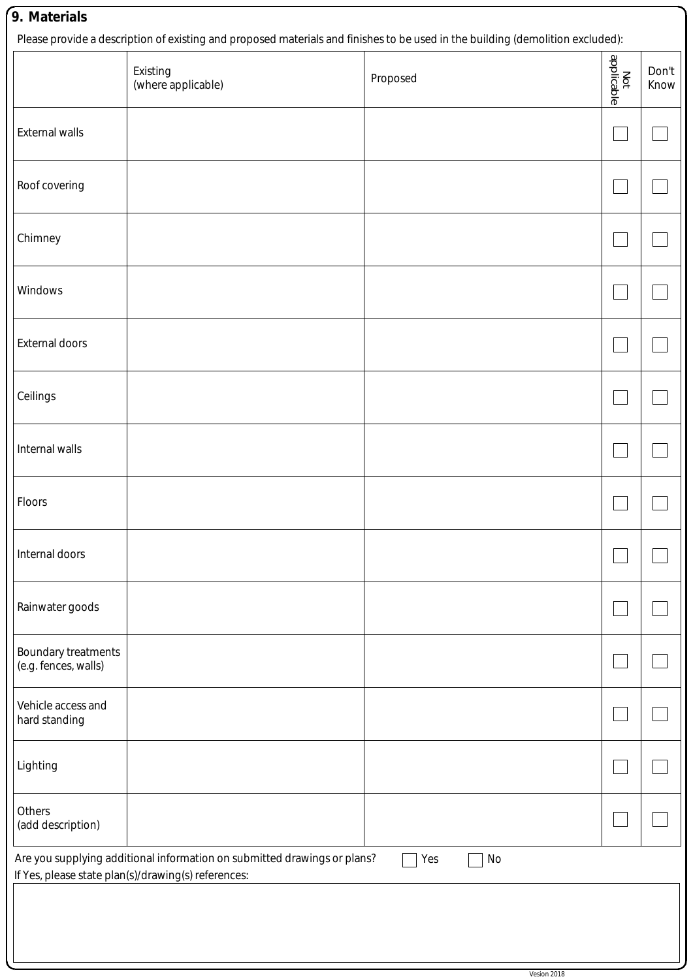| 9. Materials |
|--------------|
|              |

|                                                                                                                                              | Existing<br>(where applicable) | These provided absentation of existing and proposed materials and milliones to be deed in the building (demonstration excluded).<br>Proposed | <br>  applicable<br> | Don't<br>Know |  |
|----------------------------------------------------------------------------------------------------------------------------------------------|--------------------------------|----------------------------------------------------------------------------------------------------------------------------------------------|----------------------|---------------|--|
| <b>External walls</b>                                                                                                                        |                                |                                                                                                                                              |                      |               |  |
| Roof covering                                                                                                                                |                                |                                                                                                                                              |                      |               |  |
| Chimney                                                                                                                                      |                                |                                                                                                                                              |                      |               |  |
| Windows                                                                                                                                      |                                |                                                                                                                                              |                      |               |  |
| <b>External doors</b>                                                                                                                        |                                |                                                                                                                                              |                      |               |  |
| Ceilings                                                                                                                                     |                                |                                                                                                                                              |                      |               |  |
| Internal walls                                                                                                                               |                                |                                                                                                                                              |                      |               |  |
| Floors                                                                                                                                       |                                |                                                                                                                                              |                      |               |  |
| Internal doors                                                                                                                               |                                |                                                                                                                                              |                      |               |  |
| Rainwater goods                                                                                                                              |                                |                                                                                                                                              |                      |               |  |
| <b>Boundary treatments</b><br>(e.g. fences, walls)                                                                                           |                                |                                                                                                                                              |                      |               |  |
| Vehicle access and<br>hard standing                                                                                                          |                                |                                                                                                                                              |                      |               |  |
| Lighting                                                                                                                                     |                                |                                                                                                                                              |                      |               |  |
| Others<br>(add description)                                                                                                                  |                                |                                                                                                                                              |                      |               |  |
| Are you supplying additional information on submitted drawings or plans?<br>Yes<br>No<br>If Yes, please state plan(s)/drawing(s) references: |                                |                                                                                                                                              |                      |               |  |
|                                                                                                                                              |                                |                                                                                                                                              |                      |               |  |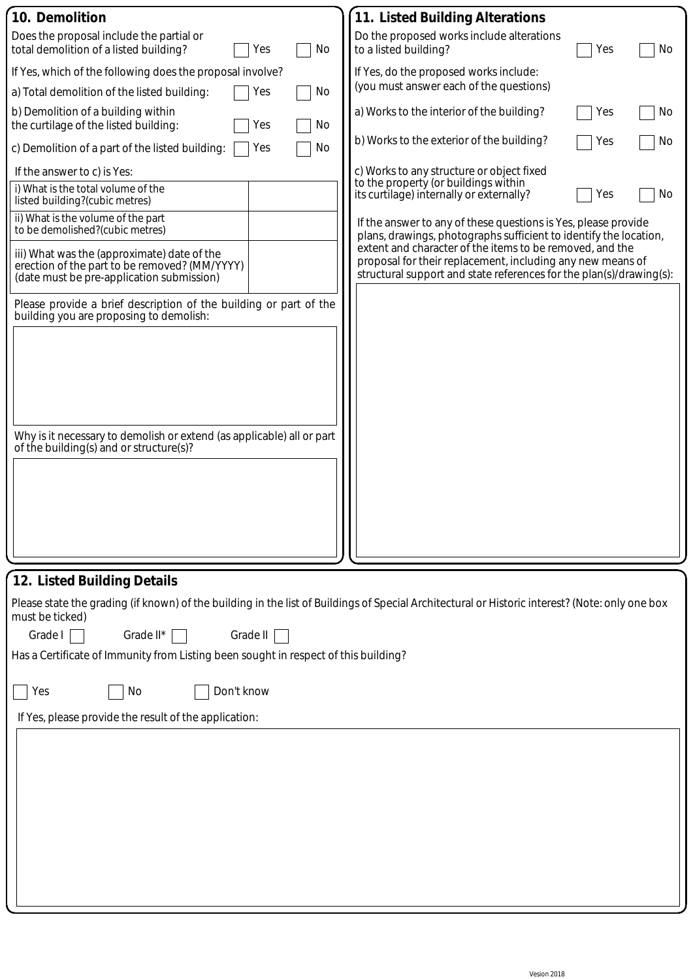| 10. Demolition                                                                                                                                                     | 11. Listed Building Alterations                                                                                                                                                               |  |  |  |
|--------------------------------------------------------------------------------------------------------------------------------------------------------------------|-----------------------------------------------------------------------------------------------------------------------------------------------------------------------------------------------|--|--|--|
| Does the proposal include the partial or<br>No<br>Yes<br>total demolition of a listed building?                                                                    | Do the proposed works include alterations<br>No<br>to a listed building?<br>Yes                                                                                                               |  |  |  |
| If Yes, which of the following does the proposal involve?                                                                                                          | If Yes, do the proposed works include:                                                                                                                                                        |  |  |  |
| a) Total demolition of the listed building:<br>Yes<br>No                                                                                                           | (you must answer each of the questions)                                                                                                                                                       |  |  |  |
| b) Demolition of a building within<br>No<br>the curtilage of the listed building:<br>Yes                                                                           | a) Works to the interior of the building?<br>No<br>Yes                                                                                                                                        |  |  |  |
| c) Demolition of a part of the listed building:<br>No<br>Yes                                                                                                       | b) Works to the exterior of the building?<br>No<br>Yes                                                                                                                                        |  |  |  |
| If the answer to c) is Yes:                                                                                                                                        | c) Works to any structure or object fixed<br>to the property (or buildings within                                                                                                             |  |  |  |
| i) What is the total volume of the<br>listed building?(cubic metres)                                                                                               | its curtilage) internally or externally?<br>No<br>Yes                                                                                                                                         |  |  |  |
| ii) What is the volume of the part<br>to be demolished?(cubic metres)                                                                                              | If the answer to any of these questions is Yes, please provide<br>plans, drawings, photographs sufficient to identify the location,                                                           |  |  |  |
| iii) What was the (approximate) date of the<br>erection of the part to be removed? (MM/YYYY)<br>(date must be pre-application submission)                          | extent and character of the items to be removed, and the<br>proposal for their replacement, including any new means of<br>structural support and state references for the plan(s)/drawing(s): |  |  |  |
| Please provide a brief description of the building or part of the<br>building you are proposing to demolish:                                                       |                                                                                                                                                                                               |  |  |  |
| Why is it necessary to demolish or extend (as applicable) all or part<br>of the building(s) and or structure(s)?                                                   |                                                                                                                                                                                               |  |  |  |
| 12. Listed Building Details                                                                                                                                        |                                                                                                                                                                                               |  |  |  |
| Please state the grading (if known) of the building in the list of Buildings of Special Architectural or Historic interest? (Note: only one box<br>must be ticked) |                                                                                                                                                                                               |  |  |  |
| Grade I<br>Grade II*<br>Grade $\parallel$                                                                                                                          |                                                                                                                                                                                               |  |  |  |
| Has a Certificate of Immunity from Listing been sought in respect of this building?                                                                                |                                                                                                                                                                                               |  |  |  |
| Don't know<br>Yes<br>No                                                                                                                                            |                                                                                                                                                                                               |  |  |  |
| If Yes, please provide the result of the application:                                                                                                              |                                                                                                                                                                                               |  |  |  |
|                                                                                                                                                                    |                                                                                                                                                                                               |  |  |  |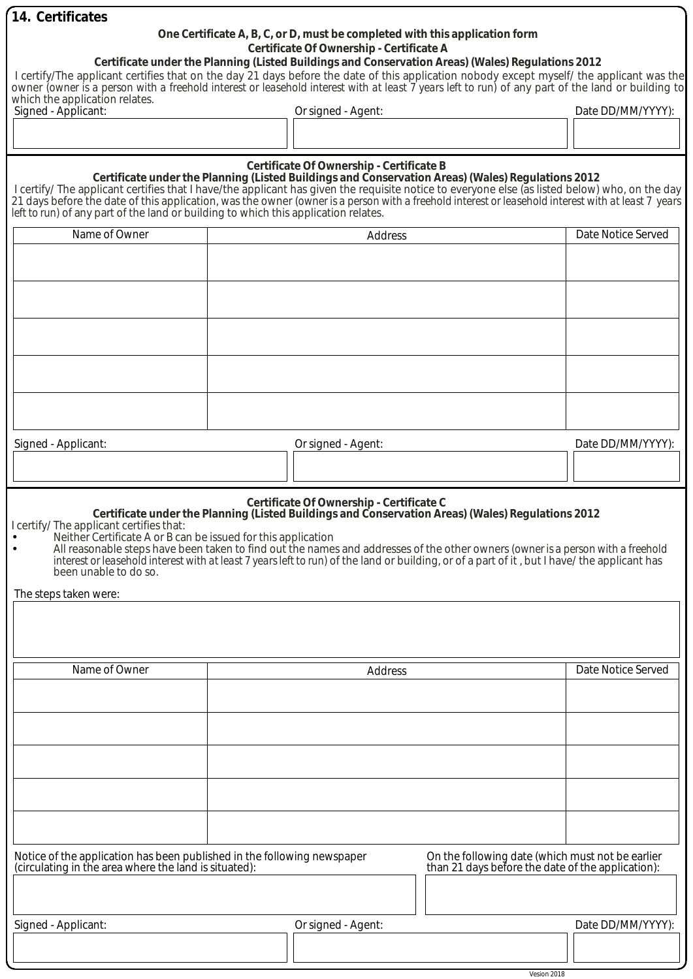| 14. Certificates                                                                                                                                                                                                                                                                                                                                                                             |  |                                                                                                                         |                                                                                                   |                    |
|----------------------------------------------------------------------------------------------------------------------------------------------------------------------------------------------------------------------------------------------------------------------------------------------------------------------------------------------------------------------------------------------|--|-------------------------------------------------------------------------------------------------------------------------|---------------------------------------------------------------------------------------------------|--------------------|
|                                                                                                                                                                                                                                                                                                                                                                                              |  | One Certificate A, B, C, or D, must be completed with this application form<br>Certificate Of Ownership - Certificate A |                                                                                                   |                    |
|                                                                                                                                                                                                                                                                                                                                                                                              |  |                                                                                                                         | Certificate under the Planning (Listed Buildings and Conservation Areas) (Wales) Regulations 2012 |                    |
| I certify/The applicant certifies that on the day 21 days before the date of this application nobody except myself/ the applicant was the<br>owner (owner is a person with a freehold interest or leasehold interest with at least 7 years left to run) of any part of the land or building to                                                                                               |  |                                                                                                                         |                                                                                                   |                    |
| which the application relates.<br>Signed - Applicant:                                                                                                                                                                                                                                                                                                                                        |  | Or signed - Agent:                                                                                                      |                                                                                                   | Date DD/MM/YYYY):  |
|                                                                                                                                                                                                                                                                                                                                                                                              |  |                                                                                                                         |                                                                                                   |                    |
|                                                                                                                                                                                                                                                                                                                                                                                              |  |                                                                                                                         |                                                                                                   |                    |
|                                                                                                                                                                                                                                                                                                                                                                                              |  | Certificate Of Ownership - Certificate B                                                                                |                                                                                                   |                    |
| I certify/ The applicant certifies that I have/the applicant has given the requisite notice to everyone else (as listed below) who, on the day<br>21 days before the date of this application, was the owner (owner is a person with a freehold interest or leasehold interest with at least 7 years<br>left to run) of any part of the land or building to which this application relates.  |  |                                                                                                                         | Certificate under the Planning (Listed Buildings and Conservation Areas) (Wales) Regulations 2012 |                    |
| Name of Owner                                                                                                                                                                                                                                                                                                                                                                                |  | Address                                                                                                                 |                                                                                                   | Date Notice Served |
|                                                                                                                                                                                                                                                                                                                                                                                              |  |                                                                                                                         |                                                                                                   |                    |
|                                                                                                                                                                                                                                                                                                                                                                                              |  |                                                                                                                         |                                                                                                   |                    |
|                                                                                                                                                                                                                                                                                                                                                                                              |  |                                                                                                                         |                                                                                                   |                    |
|                                                                                                                                                                                                                                                                                                                                                                                              |  |                                                                                                                         |                                                                                                   |                    |
|                                                                                                                                                                                                                                                                                                                                                                                              |  |                                                                                                                         |                                                                                                   |                    |
|                                                                                                                                                                                                                                                                                                                                                                                              |  |                                                                                                                         |                                                                                                   |                    |
|                                                                                                                                                                                                                                                                                                                                                                                              |  |                                                                                                                         |                                                                                                   |                    |
|                                                                                                                                                                                                                                                                                                                                                                                              |  |                                                                                                                         |                                                                                                   |                    |
|                                                                                                                                                                                                                                                                                                                                                                                              |  |                                                                                                                         |                                                                                                   |                    |
| Signed - Applicant:                                                                                                                                                                                                                                                                                                                                                                          |  | Or signed - Agent:                                                                                                      |                                                                                                   | Date DD/MM/YYYY):  |
|                                                                                                                                                                                                                                                                                                                                                                                              |  |                                                                                                                         |                                                                                                   |                    |
|                                                                                                                                                                                                                                                                                                                                                                                              |  |                                                                                                                         |                                                                                                   |                    |
| I certify/ The applicant certifies that:<br>Neither Certificate A or B can be issued for this application<br>All reasonable steps have been taken to find out the names and addresses of the other owners (owner is a person with a freehold<br>interest or leasehold interest with at least 7 years left to run) of the land or building, or of a part of it, but I have/ the applicant has |  | Certificate Of Ownership - Certificate C                                                                                | Certificate under the Planning (Listed Buildings and Conservation Areas) (Wales) Regulations 2012 |                    |
| been unable to do so.                                                                                                                                                                                                                                                                                                                                                                        |  |                                                                                                                         |                                                                                                   |                    |
| The steps taken were:                                                                                                                                                                                                                                                                                                                                                                        |  |                                                                                                                         |                                                                                                   |                    |
|                                                                                                                                                                                                                                                                                                                                                                                              |  |                                                                                                                         |                                                                                                   |                    |
|                                                                                                                                                                                                                                                                                                                                                                                              |  |                                                                                                                         |                                                                                                   |                    |
| Name of Owner                                                                                                                                                                                                                                                                                                                                                                                |  | <b>Address</b>                                                                                                          |                                                                                                   | Date Notice Served |
|                                                                                                                                                                                                                                                                                                                                                                                              |  |                                                                                                                         |                                                                                                   |                    |
|                                                                                                                                                                                                                                                                                                                                                                                              |  |                                                                                                                         |                                                                                                   |                    |
|                                                                                                                                                                                                                                                                                                                                                                                              |  |                                                                                                                         |                                                                                                   |                    |
|                                                                                                                                                                                                                                                                                                                                                                                              |  |                                                                                                                         |                                                                                                   |                    |
|                                                                                                                                                                                                                                                                                                                                                                                              |  |                                                                                                                         |                                                                                                   |                    |
|                                                                                                                                                                                                                                                                                                                                                                                              |  |                                                                                                                         |                                                                                                   |                    |
|                                                                                                                                                                                                                                                                                                                                                                                              |  |                                                                                                                         |                                                                                                   |                    |
|                                                                                                                                                                                                                                                                                                                                                                                              |  |                                                                                                                         |                                                                                                   |                    |
| Notice of the application has been published in the following newspaper                                                                                                                                                                                                                                                                                                                      |  |                                                                                                                         | On the following date (which must not be earlier                                                  |                    |
| than 21 days before the date of the application):<br>(circulating in the area where the land is situated):                                                                                                                                                                                                                                                                                   |  |                                                                                                                         |                                                                                                   |                    |
|                                                                                                                                                                                                                                                                                                                                                                                              |  |                                                                                                                         |                                                                                                   |                    |
| Signed - Applicant:                                                                                                                                                                                                                                                                                                                                                                          |  | Or signed - Agent:                                                                                                      |                                                                                                   | Date DD/MM/YYYY):  |
|                                                                                                                                                                                                                                                                                                                                                                                              |  |                                                                                                                         |                                                                                                   |                    |
|                                                                                                                                                                                                                                                                                                                                                                                              |  |                                                                                                                         |                                                                                                   |                    |

Vesion 2018